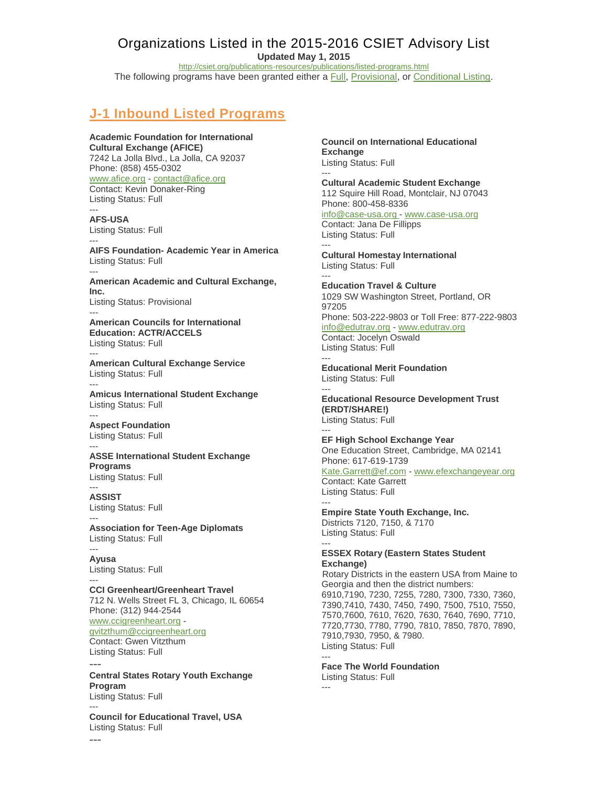# Organizations Listed in the 2015-2016 CSIET Advisory List

**Updated May 1, 2015**

<http://csiet.org/publications-resources/publications/listed-programs.html>

The following programs have been granted either a **Full**, Provisional, or [Conditional Listing.](http://www.csiet.org/publications-resources/publications/listings.html)

# **J-1 Inbound Listed Programs**

### **Academic Foundation for International Cultural Exchange (AFICE)**

7242 La Jolla Blvd., La Jolla, CA 92037 Phone: (858) 455-0302 [www.afice.org](http://www.afice.org/) - [contact@afice.org](mailto:contact@afice.org) Contact: Kevin Donaker-Ring Listing Status: Full ---

**AFS-USA** Listing Status: Full ---

**AIFS Foundation- Academic Year in America** Listing Status: Full

--- **American Academic and Cultural Exchange, Inc.** Listing Status: Provisional ---

**American Councils for International Education: ACTR/ACCELS** Listing Status: Full

**American Cultural Exchange Service** Listing Status: Full ---

**Amicus International Student Exchange** Listing Status: Full

--- **Aspect Foundation** Listing Status: Full ---

---

**ASSE International Student Exchange Programs** Listing Status: Full

--- **ASSIST** Listing Status: Full

--- **Association for Teen-Age Diplomats** Listing Status: Full

--- **Ayusa** Listing Status: Full ---

---

**CCI Greenheart/Greenheart Travel** 712 N. Wells Street FL 3, Chicago, IL 60654 Phone: (312) 944-2544 [www.ccigreenheart.org](http://www.ccigreenheart.org/) [gvitzthum@ccigreenheart.org](mailto:gvitzthum@ccigreenheart.org) Contact: Gwen Vitzthum Listing Status: Full ---

**Central States Rotary Youth Exchange Program** Listing Status: Full

--- **Council for Educational Travel, USA** Listing Status: Full

**Council on International Educational Exchange** Listing Status: Full

--- **Cultural Academic Student Exchange** 112 Squire Hill Road, Montclair, NJ 07043 Phone: 800-458-8336 [info@case-usa.org -](mailto:info@case-usa.org) [www.case-usa.org](http://www.case-usa.org/) Contact: Jana De Fillipps Listing Status: Full

--- **Cultural Homestay International** Listing Status: Full ---

**Education Travel & Culture** 1029 SW Washington Street, Portland, OR 97205 Phone: 503-222-9803 or Toll Free: 877-222-9803 [info@edutrav.org](mailto:info@edutrav.org) - [www.edutrav.org](http://www.edutrav.org/) Contact: Jocelyn Oswald Listing Status: Full ---

**Educational Merit Foundation** Listing Status: Full ---

**Educational Resource Development Trust (ERDT/SHARE!)** Listing Status: Full ---

**EF High School Exchange Year** One Education Street, Cambridge, MA 02141 Phone: 617-619-1739

[Kate.Garrett@ef.com](mailto:Kate.Garrett@ef.com) - [www.efexchangeyear.org](http://www.efexchangeyear.org/) Contact: Kate Garrett Listing Status: Full ---

**Empire State Youth Exchange, Inc.** Districts 7120, 7150, & 7170 Listing Status: Full ---

### **ESSEX Rotary (Eastern States Student Exchange)**

Rotary Districts in the eastern USA from Maine to Georgia and then the district numbers: 6910,7190, 7230, 7255, 7280, 7300, 7330, 7360, 7390,7410, 7430, 7450, 7490, 7500, 7510, 7550, 7570,7600, 7610, 7620, 7630, 7640, 7690, 7710, 7720,7730, 7780, 7790, 7810, 7850, 7870, 7890, 7910,7930, 7950, & 7980. Listing Status: Full

--- **Face The World Foundation**

Listing Status: Full ---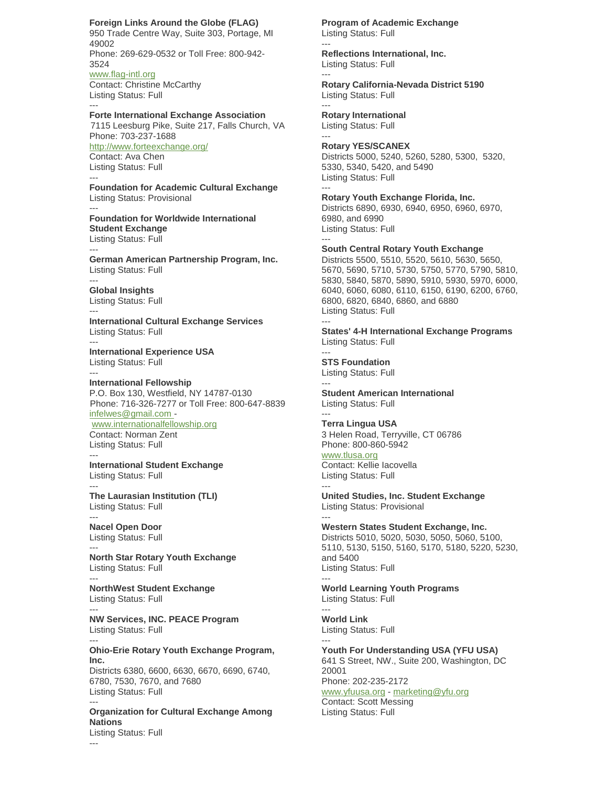### **Foreign Links Around the Globe (FLAG)**

950 Trade Centre Way, Suite 303, Portage, MI 49002 Phone: 269-629-0532 or Toll Free: 800-942- 3524 [www.flag-intl.org](http://www.flag-intl.org/) Contact: Christine McCarthy Listing Status: Full

**Forte International Exchange Association**

7115 Leesburg Pike, Suite 217, Falls Church, VA Phone: 703-237-1688 <http://www.forteexchange.org/> Contact: Ava Chen

Listing Status: Full ---

---

---

---

---

---

---

---

---

**Foundation for Academic Cultural Exchange** Listing Status: Provisional ---

**Foundation for Worldwide International Student Exchange** Listing Status: Full

--- **German American Partnership Program, Inc.**  Listing Status: Full

**Global Insights** Listing Status: Full

**International Cultural Exchange Services** Listing Status: Full

**International Experience USA** Listing Status: Full ---

**International Fellowship** P.O. Box 130, Westfield, NY 14787-0130 Phone: 716-326-7277 or Toll Free: 800-647-8839 [infelwes@gmail.com](mailto:infelwes@gmail.com)  [www.internationalfellowship.org](http://www.internationalfellowship.org/)

Contact: Norman Zent Listing Status: Full ---

**International Student Exchange** Listing Status: Full

**The Laurasian Institution (TLI)** Listing Status: Full

--- **Nacel Open Door** Listing Status: Full

**North Star Rotary Youth Exchange** Listing Status: Full ---

**NorthWest Student Exchange** Listing Status: Full ---

**NW Services, INC. PEACE Program** Listing Status: Full

**Ohio-Erie Rotary Youth Exchange Program, Inc.** Districts 6380, 6600, 6630, 6670, 6690, 6740,

6780, 7530, 7670, and 7680 Listing Status: Full ---

**Organization for Cultural Exchange Among Nations** Listing Status: Full

**Program of Academic Exchange** Listing Status: Full

**Reflections International, Inc.** Listing Status: Full

**Rotary California-Nevada District 5190** Listing Status: Full

**Rotary International**  Listing Status: Full ---

---

---

---

**Rotary YES/SCANEX** Districts 5000, 5240, 5260, 5280, 5300, 5320, 5330, 5340, 5420, and 5490 Listing Status: Full

--- **Rotary Youth Exchange Florida, Inc.** Districts 6890, 6930, 6940, 6950, 6960, 6970, 6980, and 6990 Listing Status: Full ---

**South Central Rotary Youth Exchange**

Districts 5500, 5510, 5520, 5610, 5630, 5650, 5670, 5690, 5710, 5730, 5750, 5770, 5790, 5810, 5830, 5840, 5870, 5890, 5910, 5930, 5970, 6000, 6040, 6060, 6080, 6110, 6150, 6190, 6200, 6760, 6800, 6820, 6840, 6860, and 6880 Listing Status: Full ---

**States' 4-H International Exchange Programs** Listing Status: Full

--- **STS Foundation** Listing Status: Full ---

**Student American International** Listing Status: Full

--- **Terra Lingua USA** 3 Helen Road, Terryville, CT 06786 Phone: 800-860-5942 [www.tlusa.org](http://www.tlusa.org/)

Contact: Kellie Iacovella Listing Status: Full

---

**United Studies, Inc. Student Exchange** Listing Status: Provisional ---

**Western States Student Exchange, Inc.**  Districts 5010, 5020, 5030, 5050, 5060, 5100, 5110, 5130, 5150, 5160, 5170, 5180, 5220, 5230, and 5400 Listing Status: Full ---

**World Learning Youth Programs** Listing Status: Full

--- **World Link** Listing Status: Full

--- **Youth For Understanding USA (YFU USA)** 641 S Street, NW., Suite 200, Washington, DC 20001 Phone: 202-235-2172 [www.yfuusa.org](http://www.yfuusa.org/) - [marketing@yfu.org](mailto:marketing@yfu.org) Contact: Scott Messing

Listing Status: Full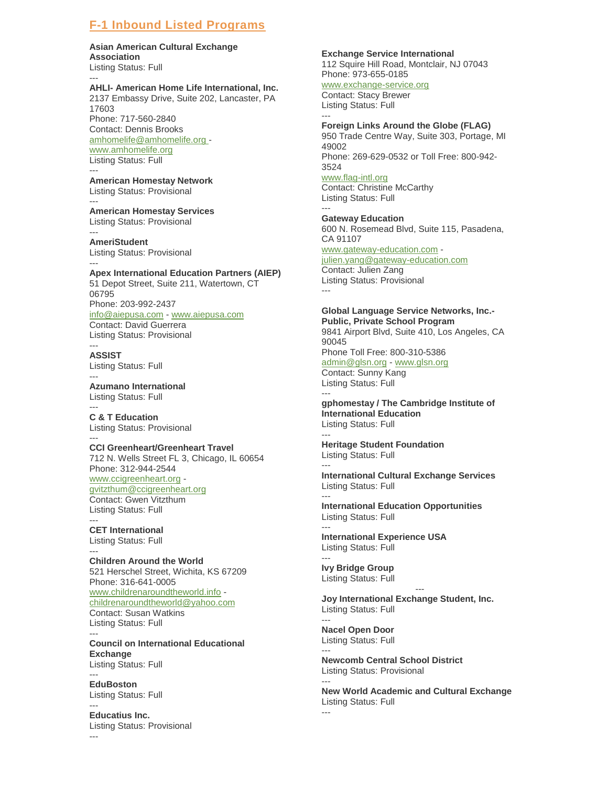## **F-1 Inbound Listed Programs**

## **Asian American Cultural Exchange**

**Association** Listing Status: Full

#### --- **AHLI- American Home Life International, Inc.**

2137 Embassy Drive, Suite 202, Lancaster, PA 17603 Phone: 717-560-2840

Contact: Dennis Brooks [amhomelife@amhomelife.org](mailto:amhomelife@amhomelife.org)  [www.amhomelife.org](http://www.amhomelife.org/) Listing Status: Full

#### --- **American Homestay Network**

Listing Status: Provisional ---

### **American Homestay Services** Listing Status: Provisional

--- **AmeriStudent** Listing Status: Provisional

---

### **Apex International Education Partners (AIEP)** 51 Depot Street, Suite 211, Watertown, CT 06795 Phone: 203-992-2437 [info@aiepusa.com](mailto:info@aiepusa.com) - [www.aiepusa.com](http://www.aiepusa.com/) Contact: David Guerrera Listing Status: Provisional

--- **ASSIST** Listing Status: Full

--- **Azumano International** Listing Status: Full

--- **C & T Education**  Listing Status: Provisional

--- **CCI Greenheart/Greenheart Travel** 712 N. Wells Street FL 3, Chicago, IL 60654 Phone: 312-944-2544 [www.ccigreenheart.org](http://www.ccigreenheart.org/) [gvitzthum@ccigreenheart.org](mailto:gvitzthum@ccigreenheart.org) Contact: Gwen Vitzthum Listing Status: Full

--- **CET International** Listing Status: Full

--- **Children Around the World** 521 Herschel Street, Wichita, KS 67209 Phone: 316-641-0005 [www.childrenaroundtheworld.info](http://www.childrenaroundtheworld.info/) [childrenaroundtheworld@yahoo.com](mailto:childrenaroundtheworld@yahoo.com) Contact: Susan Watkins Listing Status: Full

--- **Council on International Educational Exchange** Listing Status: Full ---

**EduBoston** Listing Status: Full

--- **Educatius Inc.** Listing Status: Provisional ---

### **Exchange Service International**

112 Squire Hill Road, Montclair, NJ 07043 Phone: 973-655-0185

# [www.exchange-service.org](http://www.exchange-service.org/)

Contact: Stacy Brewer Listing Status: Full ---

## **Foreign Links Around the Globe (FLAG)**

950 Trade Centre Way, Suite 303, Portage, MI 49002 Phone: 269-629-0532 or Toll Free: 800-942-

3524 [www.flag-intl.org](http://www.flag-intl.org/)

Contact: Christine McCarthy Listing Status: Full ---

### **Gateway Education** 600 N. Rosemead Blvd, Suite 115, Pasadena, CA 91107

[www.gateway-education.com](http://www.gateway-education.com/) -

### [julien.yang@gateway-education.com](mailto:julien.yang@gateway-education.com) Contact: Julien Zang Listing Status: Provisional ---

### **Global Language Service Networks, Inc.- Public, Private School Program**

9841 Airport Blvd, Suite 410, Los Angeles, CA 90045 Phone Toll Free: 800-310-5386 [admin@glsn.org](mailto:admin@glsn.org) - [www.glsn.org](http://www.glsn.org/) Contact: Sunny Kang Listing Status: Full

### -- **gphomestay / The Cambridge Institute of International Education** Listing Status: Full

### --- **Heritage Student Foundation** Listing Status: Full

--- **International Cultural Exchange Services** Listing Status: Full

--- **International Education Opportunities** Listing Status: Full ---

**International Experience USA** Listing Status: Full

--- **Ivy Bridge Group** Listing Status: Full

--- **Joy International Exchange Student, Inc.** Listing Status: Full

--- **Nacel Open Door** Listing Status: Full ---

**Newcomb Central School District** Listing Status: Provisional ---

**New World Academic and Cultural Exchange** Listing Status: Full ---